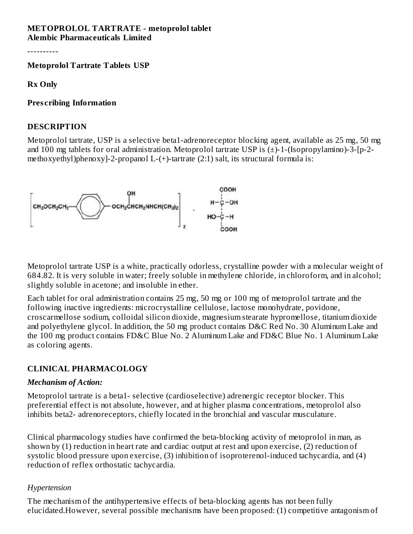#### **METOPROLOL TARTRATE - metoprolol tablet Alembic Pharmaceuticals Limited**

----------

**Metoprolol Tartrate Tablets USP**

**Rx Only**

#### **Pres cribing Information**

#### **DESCRIPTION**

Metoprolol tartrate, USP is a selective beta1-adrenoreceptor blocking agent, available as 25 mg, 50 mg and 100 mg tablets for oral administration. Metoprolol tartrate USP is (±)-1-(Isopropylamino)-3-[p-2 methoxyethyl)phenoxy]-2-propanol L-(+)-tartrate (2:1) salt, its structural formula is:



Metoprolol tartrate USP is a white, practically odorless, crystalline powder with a molecular weight of 684.82. It is very soluble in water; freely soluble in methylene chloride, in chloroform, and in alcohol; slightly soluble in acetone; and insoluble in ether.

Each tablet for oral administration contains 25 mg, 50 mg or 100 mg of metoprolol tartrate and the following inactive ingredients: microcrystalline cellulose, lactose monohydrate, povidone, croscarmellose sodium, colloidal silicon dioxide, magnesium stearate hypromellose, titanium dioxide and polyethylene glycol. In addition, the 50 mg product contains D&C Red No. 30 Aluminum Lake and the 100 mg product contains FD&C Blue No. 2 Aluminum Lake and FD&C Blue No. 1 Aluminum Lake as coloring agents.

### **CLINICAL PHARMACOLOGY**

#### *Mechanism of Action:*

Metoprolol tartrate is a beta1- selective (cardioselective) adrenergic receptor blocker. This preferential effect is not absolute, however, and at higher plasma concentrations, metoprolol also inhibits beta2- adrenoreceptors, chiefly located in the bronchial and vascular musculature.

Clinical pharmacology studies have confirmed the beta-blocking activity of metoprolol in man, as shown by (1) reduction in heart rate and cardiac output at rest and upon exercise, (2) reduction of systolic blood pressure upon exercise, (3) inhibition of isoproterenol-induced tachycardia, and (4) reduction of reflex orthostatic tachycardia.

#### *Hypertension*

The mechanism of the antihypertensive effects of beta-blocking agents has not been fully elucidated.However, several possible mechanisms have been proposed: (1) competitive antagonism of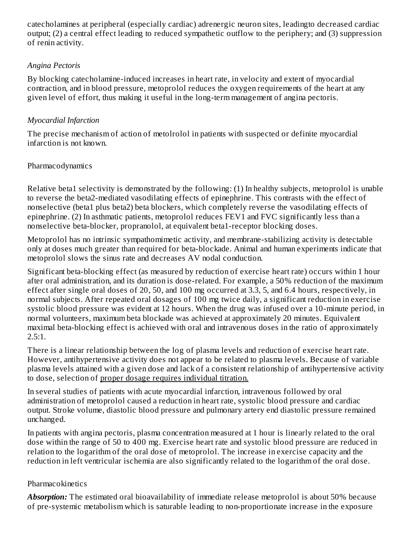catecholamines at peripheral (especially cardiac) adrenergic neuron sites, leadingto decreased cardiac output; (2) a central effect leading to reduced sympathetic outflow to the periphery; and (3) suppression of renin activity.

### *Angina Pectoris*

By blocking catecholamine-induced increases in heart rate, in velocity and extent of myocardial contraction, and in blood pressure, metoprolol reduces the oxygen requirements of the heart at any given level of effort, thus making it useful in the long-term management of angina pectoris.

### *Myocardial Infarction*

The precise mechanism of action of metolrolol in patients with suspected or definite myocardial infarction is not known.

### Pharmacodynamics

Relative beta1 selectivity is demonstrated by the following: (1) In healthy subjects, metoprolol is unable to reverse the beta2-mediated vasodilating effects of epinephrine. This contrasts with the effect of nonselective (beta1 plus beta2) beta blockers, which completely reverse the vasodilating effects of epinephrine. (2) In asthmatic patients, metoprolol reduces FEV1 and FVC significantly less than a nonselective beta-blocker, propranolol, at equivalent beta1-receptor blocking doses.

Metoprolol has no intrinsic sympathomimetic activity, and membrane-stabilizing activity is detectable only at doses much greater than required for beta-blockade. Animal and human experiments indicate that metoprolol slows the sinus rate and decreases AV nodal conduction.

Significant beta-blocking effect (as measured by reduction of exercise heart rate) occurs within 1 hour after oral administration, and its duration is dose-related. For example, a 50% reduction of the maximum effect after single oral doses of 20, 50, and 100 mg occurred at 3.3, 5, and 6.4 hours, respectively, in normal subjects. After repeated oral dosages of 100 mg twice daily, a significant reduction in exercise systolic blood pressure was evident at 12 hours. When the drug was infused over a 10-minute period, in normal volunteers, maximum beta blockade was achieved at approximately 20 minutes. Equivalent maximal beta-blocking effect is achieved with oral and intravenous doses in the ratio of approximately 2.5:1.

There is a linear relationship between the log of plasma levels and reduction of exercise heart rate. However, antihypertensive activity does not appear to be related to plasma levels. Because of variable plasma levels attained with a given dose and lack of a consistent relationship of antihypertensive activity to dose, selection of proper dosage requires individual titration.

In several studies of patients with acute myocardial infarction, intravenous followed by oral administration of metoprolol caused a reduction in heart rate, systolic blood pressure and cardiac output. Stroke volume, diastolic blood pressure and pulmonary artery end diastolic pressure remained unchanged.

In patients with angina pectoris, plasma concentration measured at 1 hour is linearly related to the oral dose within the range of 50 to 400 mg. Exercise heart rate and systolic blood pressure are reduced in relation to the logarithm of the oral dose of metoprolol. The increase in exercise capacity and the reduction in left ventricular ischemia are also significantly related to the logarithm of the oral dose.

## Pharmacokinetics

*Absorption:* The estimated oral bioavailability of immediate release metoprolol is about 50% because of pre-systemic metabolism which is saturable leading to non-proportionate increase in the exposure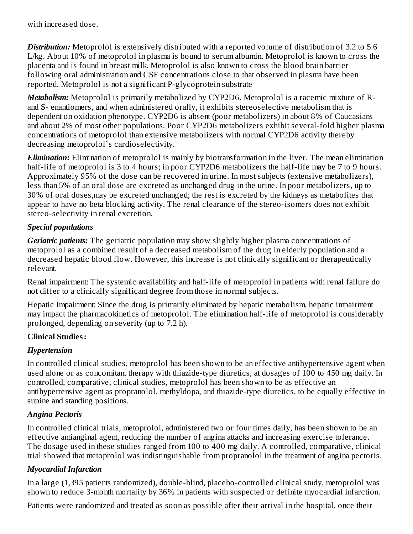with increased dose.

*Distribution:* Metoprolol is extensively distributed with a reported volume of distribution of 3.2 to 5.6 L/kg. About 10% of metoprolol in plasma is bound to serum albumin. Metoprolol is known to cross the placenta and is found in breast milk. Metoprolol is also known to cross the blood brain barrier following oral administration and CSF concentrations close to that observed in plasma have been reported. Metoprolol is not a significant P-glycoprotein substrate

*Metabolism:* Metoprolol is primarily metabolized by CYP2D6. Metoprolol is a racemic mixture of Rand S- enantiomers, and when administered orally, it exhibits stereoselective metabolism that is dependent on oxidation phenotype. CYP2D6 is absent (poor metabolizers) in about 8% of Caucasians and about 2% of most other populations. Poor CYP2D6 metabolizers exhibit several-fold higher plasma concentrations of metoprolol than extensive metabolizers with normal CYP2D6 activity thereby decreasing metoprolol's cardioselectivity.

*Elimination:* Elimination of metoprolol is mainly by biotransformation in the liver. The mean elimination half-life of metoprolol is 3 to 4 hours; in poor CYP2D6 metabolizers the half-life may be 7 to 9 hours. Approximately 95% of the dose can be recovered in urine. In most subjects (extensive metabolizers), less than 5% of an oral dose are excreted as unchanged drug in the urine. In poor metabolizers, up to 30% of oral doses,may be excreted unchanged; the rest is excreted by the kidneys as metabolites that appear to have no beta blocking activity. The renal clearance of the stereo-isomers does not exhibit stereo-selectivity in renal excretion.

### *Special populations*

*Geriatric patients:* The geriatric population may show slightly higher plasma concentrations of metoprolol as a combined result of a decreased metabolism of the drug in elderly population and a decreased hepatic blood flow. However, this increase is not clinically significant or therapeutically relevant.

Renal impairment: The systemic availability and half-life of metoprolol in patients with renal failure do not differ to a clinically significant degree from those in normal subjects.

Hepatic Impairment: Since the drug is primarily eliminated by hepatic metabolism, hepatic impairment may impact the pharmacokinetics of metoprolol. The elimination half-life of metoprolol is considerably prolonged, depending on severity (up to 7.2 h).

### **Clinical Studies:**

## *Hypertension*

In controlled clinical studies, metoprolol has been shown to be an effective antihypertensive agent when used alone or as concomitant therapy with thiazide-type diuretics, at dosages of 100 to 450 mg daily. In controlled, comparative, clinical studies, metoprolol has been shown to be as effective an antihypertensive agent as propranolol, methyldopa, and thiazide-type diuretics, to be equally effective in supine and standing positions.

## *Angina Pectoris*

In controlled clinical trials, metoprolol, administered two or four times daily, has been shown to be an effective antianginal agent, reducing the number of angina attacks and increasing exercise tolerance. The dosage used in these studies ranged from 100 to 400 mg daily. A controlled, comparative, clinical trial showed that metoprolol was indistinguishable from propranolol in the treatment of angina pectoris.

## *Myocardial Infarction*

In a large (1,395 patients randomized), double-blind, placebo-controlled clinical study, metoprolol was shown to reduce 3-month mortality by 36% in patients with suspected or definite myocardial infarction.

Patients were randomized and treated as soon as possible after their arrival in the hospital, once their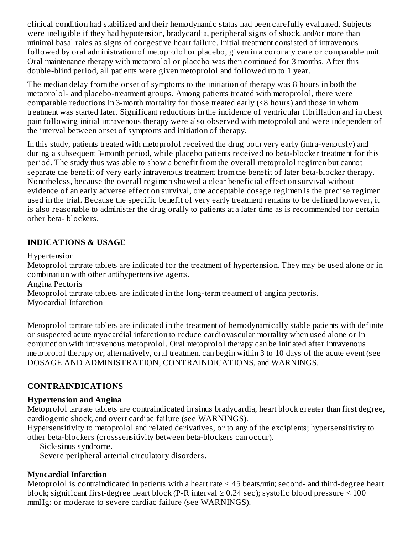clinical condition had stabilized and their hemodynamic status had been carefully evaluated. Subjects were ineligible if they had hypotension, bradycardia, peripheral signs of shock, and/or more than minimal basal rales as signs of congestive heart failure. Initial treatment consisted of intravenous followed by oral administration of metoprolol or placebo, given in a coronary care or comparable unit. Oral maintenance therapy with metoprolol or placebo was then continued for 3 months. After this double-blind period, all patients were given metoprolol and followed up to 1 year.

The median delay from the onset of symptoms to the initiation of therapy was 8 hours in both the metoprolol- and placebo-treatment groups. Among patients treated with metoprolol, there were comparable reductions in 3-month mortality for those treated early  $(\leq 8$  hours) and those in whom treatment was started later. Significant reductions in the incidence of ventricular fibrillation and in chest pain following initial intravenous therapy were also observed with metoprolol and were independent of the interval between onset of symptoms and initiation of therapy.

In this study, patients treated with metoprolol received the drug both very early (intra-venously) and during a subsequent 3-month period, while placebo patients received no beta-blocker treatment for this period. The study thus was able to show a benefit from the overall metoprolol regimen but cannot separate the benefit of very early intravenous treatment from the benefit of later beta-blocker therapy. Nonetheless, because the overall regimen showed a clear beneficial effect on survival without evidence of an early adverse effect on survival, one acceptable dosage regimen is the precise regimen used in the trial. Because the specific benefit of very early treatment remains to be defined however, it is also reasonable to administer the drug orally to patients at a later time as is recommended for certain other beta- blockers.

### **INDICATIONS & USAGE**

Hypertension

Metoprolol tartrate tablets are indicated for the treatment of hypertension. They may be used alone or in combination with other antihypertensive agents.

Angina Pectoris

Metoprolol tartrate tablets are indicated in the long-term treatment of angina pectoris.

Myocardial Infarction

Metoprolol tartrate tablets are indicated in the treatment of hemodynamically stable patients with definite or suspected acute myocardial infarction to reduce cardiovascular mortality when used alone or in conjunction with intravenous metoprolol. Oral metoprolol therapy can be initiated after intravenous metoprolol therapy or, alternatively, oral treatment can begin within 3 to 10 days of the acute event (see DOSAGE AND ADMINISTRATION, CONTRAINDICATIONS, and WARNINGS.

## **CONTRAINDICATIONS**

## **Hypertension and Angina**

Metoprolol tartrate tablets are contraindicated in sinus bradycardia, heart block greater than first degree, cardiogenic shock, and overt cardiac failure (see WARNINGS).

Hypersensitivity to metoprolol and related derivatives, or to any of the excipients; hypersensitivity to other beta-blockers (crosssensitivity between beta-blockers can occur).

Sick-sinus syndrome.

Severe peripheral arterial circulatory disorders.

# **Myocardial Infarction**

Metoprolol is contraindicated in patients with a heart rate < 45 beats/min; second- and third-degree heart block; significant first-degree heart block (P-R interval  $\geq$  0.24 sec); systolic blood pressure  $\leq$  100 mmHg; or moderate to severe cardiac failure (see WARNINGS).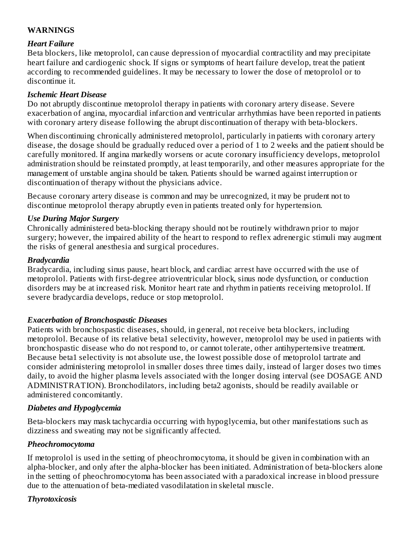### **WARNINGS**

### *Heart Failure*

Beta blockers, like metoprolol, can cause depression of myocardial contractility and may precipitate heart failure and cardiogenic shock. If signs or symptoms of heart failure develop, treat the patient according to recommended guidelines. It may be necessary to lower the dose of metoprolol or to discontinue it.

#### *Ischemic Heart Disease*

Do not abruptly discontinue metoprolol therapy in patients with coronary artery disease. Severe exacerbation of angina, myocardial infarction and ventricular arrhythmias have been reported in patients with coronary artery disease following the abrupt discontinuation of therapy with beta-blockers.

When discontinuing chronically administered metoprolol, particularly in patients with coronary artery disease, the dosage should be gradually reduced over a period of 1 to 2 weeks and the patient should be carefully monitored. If angina markedly worsens or acute coronary insufficiency develops, metoprolol administration should be reinstated promptly, at least temporarily, and other measures appropriate for the management of unstable angina should be taken. Patients should be warned against interruption or discontinuation of therapy without the physicians advice.

Because coronary artery disease is common and may be unrecognized, it may be prudent not to discontinue metoprolol therapy abruptly even in patients treated only for hypertension.

### *Use During Major Surgery*

Chronically administered beta-blocking therapy should not be routinely withdrawn prior to major surgery; however, the impaired ability of the heart to respond to reflex adrenergic stimuli may augment the risks of general anesthesia and surgical procedures.

#### *Bradycardia*

Bradycardia, including sinus pause, heart block, and cardiac arrest have occurred with the use of metoprolol. Patients with first-degree atrioventricular block, sinus node dysfunction, or conduction disorders may be at increased risk. Monitor heart rate and rhythm in patients receiving metoprolol. If severe bradycardia develops, reduce or stop metoprolol.

### *Exacerbation of Bronchospastic Diseases*

Patients with bronchospastic diseases, should, in general, not receive beta blockers, including metoprolol. Because of its relative beta1 selectivity, however, metoprolol may be used in patients with bronchospastic disease who do not respond to, or cannot tolerate, other antihypertensive treatment. Because beta1 selectivity is not absolute use, the lowest possible dose of metoprolol tartrate and consider administering metoprolol in smaller doses three times daily, instead of larger doses two times daily, to avoid the higher plasma levels associated with the longer dosing interval (see DOSAGE AND ADMINISTRATION). Bronchodilators, including beta2 agonists, should be readily available or administered concomitantly.

#### *Diabetes and Hypoglycemia*

Beta-blockers may mask tachycardia occurring with hypoglycemia, but other manifestations such as dizziness and sweating may not be significantly affected.

#### *Pheochromocytoma*

If metoprolol is used in the setting of pheochromocytoma, it should be given in combination with an alpha-blocker, and only after the alpha-blocker has been initiated. Administration of beta-blockers alone in the setting of pheochromocytoma has been associated with a paradoxical increase in blood pressure due to the attenuation of beta-mediated vasodilatation in skeletal muscle.

### *Thyrotoxicosis*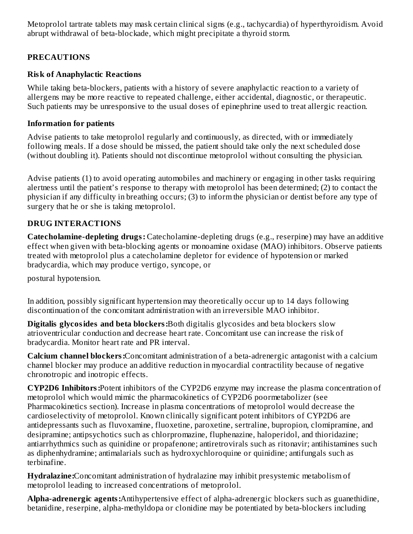Metoprolol tartrate tablets may mask certain clinical signs (e.g., tachycardia) of hyperthyroidism. Avoid abrupt withdrawal of beta-blockade, which might precipitate a thyroid storm.

## **PRECAUTIONS**

### **Risk of Anaphylactic Reactions**

While taking beta-blockers, patients with a history of severe anaphylactic reaction to a variety of allergens may be more reactive to repeated challenge, either accidental, diagnostic, or therapeutic. Such patients may be unresponsive to the usual doses of epinephrine used to treat allergic reaction.

### **Information for patients**

Advise patients to take metoprolol regularly and continuously, as directed, with or immediately following meals. If a dose should be missed, the patient should take only the next scheduled dose (without doubling it). Patients should not discontinue metoprolol without consulting the physician.

Advise patients (1) to avoid operating automobiles and machinery or engaging in other tasks requiring alertness until the patient's response to therapy with metoprolol has been determined; (2) to contact the physician if any difficulty in breathing occurs; (3) to inform the physician or dentist before any type of surgery that he or she is taking metoprolol.

### **DRUG INTERACTIONS**

**Catecholamine-depleting drugs:** Catecholamine-depleting drugs (e.g., reserpine) may have an additive effect when given with beta-blocking agents or monoamine oxidase (MAO) inhibitors. Observe patients treated with metoprolol plus a catecholamine depletor for evidence of hypotension or marked bradycardia, which may produce vertigo, syncope, or

postural hypotension.

In addition, possibly significant hypertension may theoretically occur up to 14 days following discontinuation of the concomitant administration with an irreversible MAO inhibitor.

**Digitalis glycosides and beta blockers:**Both digitalis glycosides and beta blockers slow atrioventricular conduction and decrease heart rate. Concomitant use can increase the risk of bradycardia. Monitor heart rate and PR interval.

**Calcium channel blockers:**Concomitant administration of a beta-adrenergic antagonist with a calcium channel blocker may produce an additive reduction in myocardial contractility because of negative chronotropic and inotropic effects.

**CYP2D6 Inhibitors:**Potent inhibitors of the CYP2D6 enzyme may increase the plasma concentration of metoprolol which would mimic the pharmacokinetics of CYP2D6 poormetabolizer (see Pharmacokinetics section). Increase in plasma concentrations of metoprolol would decrease the cardioselectivity of metoprolol. Known clinically significant potent inhibitors of CYP2D6 are antidepressants such as fluvoxamine, fluoxetine, paroxetine, sertraline, bupropion, clomipramine, and desipramine; antipsychotics such as chlorpromazine, fluphenazine, haloperidol, and thioridazine; antiarrhythmics such as quinidine or propafenone; antiretrovirals such as ritonavir; antihistamines such as diphenhydramine; antimalarials such as hydroxychloroquine or quinidine; antifungals such as terbinafine.

**Hydralazine:**Concomitant administration of hydralazine may inhibit presystemic metabolism of metoprolol leading to increased concentrations of metoprolol.

**Alpha-adrenergic agents:**Antihypertensive effect of alpha-adrenergic blockers such as guanethidine, betanidine, reserpine, alpha-methyldopa or clonidine may be potentiated by beta-blockers including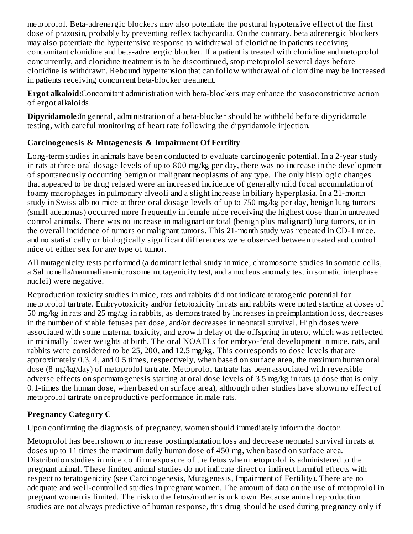metoprolol. Beta-adrenergic blockers may also potentiate the postural hypotensive effect of the first dose of prazosin, probably by preventing reflex tachycardia. On the contrary, beta adrenergic blockers may also potentiate the hypertensive response to withdrawal of clonidine in patients receiving concomitant clonidine and beta-adrenergic blocker. If a patient is treated with clonidine and metoprolol concurrently, and clonidine treatment is to be discontinued, stop metoprolol several days before clonidine is withdrawn. Rebound hypertension that can follow withdrawal of clonidine may be increased in patients receiving concurrent beta-blocker treatment.

**Ergot alkaloid:**Concomitant administration with beta-blockers may enhance the vasoconstrictive action of ergot alkaloids.

**Dipyridamole:**In general, administration of a beta-blocker should be withheld before dipyridamole testing, with careful monitoring of heart rate following the dipyridamole injection.

# **Carcinogenesis & Mutagenesis & Impairment Of Fertility**

Long-term studies in animals have been conducted to evaluate carcinogenic potential. In a 2-year study in rats at three oral dosage levels of up to 800 mg/kg per day, there was no increase in the development of spontaneously occurring benign or malignant neoplasms of any type. The only histologic changes that appeared to be drug related were an increased incidence of generally mild focal accumulation of foamy macrophages in pulmonary alveoli and a slight increase in biliary hyperplasia. In a 21-month study in Swiss albino mice at three oral dosage levels of up to 750 mg/kg per day, benign lung tumors (small adenomas) occurred more frequently in female mice receiving the highest dose than in untreated control animals. There was no increase in malignant or total (benign plus malignant) lung tumors, or in the overall incidence of tumors or malignant tumors. This 21-month study was repeated in CD-1 mice, and no statistically or biologically significant differences were observed between treated and control mice of either sex for any type of tumor.

All mutagenicity tests performed (a dominant lethal study in mice, chromosome studies in somatic cells, a Salmonella/mammalian-microsome mutagenicity test, and a nucleus anomaly test in somatic interphase nuclei) were negative.

Reproduction toxicity studies in mice, rats and rabbits did not indicate teratogenic potential for metoprolol tartrate. Embryotoxicity and/or fetotoxicity in rats and rabbits were noted starting at doses of 50 mg/kg in rats and 25 mg/kg in rabbits, as demonstrated by increases in preimplantation loss, decreases in the number of viable fetuses per dose, and/or decreases in neonatal survival. High doses were associated with some maternal toxicity, and growth delay of the offspring in utero, which was reflected in minimally lower weights at birth. The oral NOAELs for embryo-fetal development in mice, rats, and rabbits were considered to be 25, 200, and 12.5 mg/kg. This corresponds to dose levels that are approximately 0.3, 4, and 0.5 times, respectively, when based on surface area, the maximum human oral dose (8 mg/kg/day) of metoprolol tartrate. Metoprolol tartrate has been associated with reversible adverse effects on spermatogenesis starting at oral dose levels of 3.5 mg/kg in rats (a dose that is only 0.1-times the human dose, when based on surface area), although other studies have shown no effect of metoprolol tartrate on reproductive performance in male rats.

# **Pregnancy Category C**

Upon confirming the diagnosis of pregnancy, women should immediately inform the doctor.

Metoprolol has been shown to increase postimplantation loss and decrease neonatal survival in rats at doses up to 11 times the maximum daily human dose of 450 mg, when based on surface area. Distribution studies in mice confirm exposure of the fetus when metoprolol is administered to the pregnant animal. These limited animal studies do not indicate direct or indirect harmful effects with respect to teratogenicity (see Carcinogenesis, Mutagenesis, Impairment of Fertility). There are no adequate and well-controlled studies in pregnant women. The amount of data on the use of metoprolol in pregnant women is limited. The risk to the fetus/mother is unknown. Because animal reproduction studies are not always predictive of human response, this drug should be used during pregnancy only if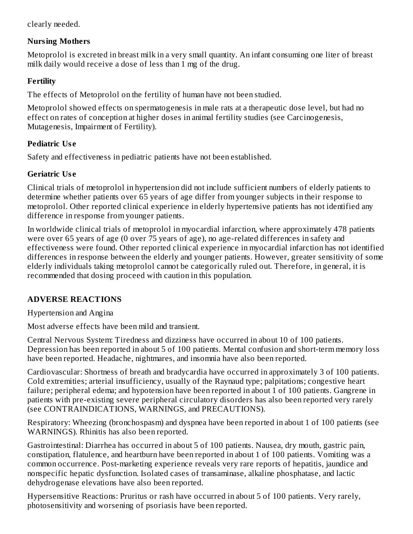clearly needed.

## **Nursing Mothers**

Metoprolol is excreted in breast milk in a very small quantity. An infant consuming one liter of breast milk daily would receive a dose of less than 1 mg of the drug.

## **Fertility**

The effects of Metoprolol on the fertility of human have not been studied.

Metoprolol showed effects on spermatogenesis in male rats at a therapeutic dose level, but had no effect on rates of conception at higher doses in animal fertility studies (see Carcinogenesis, Mutagenesis, Impairment of Fertility).

## **Pediatric Us e**

Safety and effectiveness in pediatric patients have not been established.

## **Geriatric Us e**

Clinical trials of metoprolol in hypertension did not include sufficient numbers of elderly patients to determine whether patients over 65 years of age differ from younger subjects in their response to metoprolol. Other reported clinical experience in elderly hypertensive patients has not identified any difference in response from younger patients.

In worldwide clinical trials of metoprolol in myocardial infarction, where approximately 478 patients were over 65 years of age (0 over 75 years of age), no age-related differences in safety and effectiveness were found. Other reported clinical experience in myocardial infarction has not identified differences in response between the elderly and younger patients. However, greater sensitivity of some elderly individuals taking metoprolol cannot be categorically ruled out. Therefore, in general, it is recommended that dosing proceed with caution in this population.

# **ADVERSE REACTIONS**

Hypertension and Angina

Most adverse effects have been mild and transient.

Central Nervous System: Tiredness and dizziness have occurred in about 10 of 100 patients. Depression has been reported in about 5 of 100 patients. Mental confusion and short-term memory loss have been reported. Headache, nightmares, and insomnia have also been reported.

Cardiovascular: Shortness of breath and bradycardia have occurred in approximately 3 of 100 patients. Cold extremities; arterial insufficiency, usually of the Raynaud type; palpitations; congestive heart failure; peripheral edema; and hypotension have been reported in about 1 of 100 patients. Gangrene in patients with pre-existing severe peripheral circulatory disorders has also been reported very rarely (see CONTRAINDICATIONS, WARNINGS, and PRECAUTIONS).

Respiratory: Wheezing (bronchospasm) and dyspnea have been reported in about 1 of 100 patients (see WARNINGS). Rhinitis has also been reported.

Gastrointestinal: Diarrhea has occurred in about 5 of 100 patients. Nausea, dry mouth, gastric pain, constipation, flatulence, and heartburn have been reported in about 1 of 100 patients. Vomiting was a common occurrence. Post-marketing experience reveals very rare reports of hepatitis, jaundice and nonspecific hepatic dysfunction. Isolated cases of transaminase, alkaline phosphatase, and lactic dehydrogenase elevations have also been reported.

Hypersensitive Reactions: Pruritus or rash have occurred in about 5 of 100 patients. Very rarely, photosensitivity and worsening of psoriasis have been reported.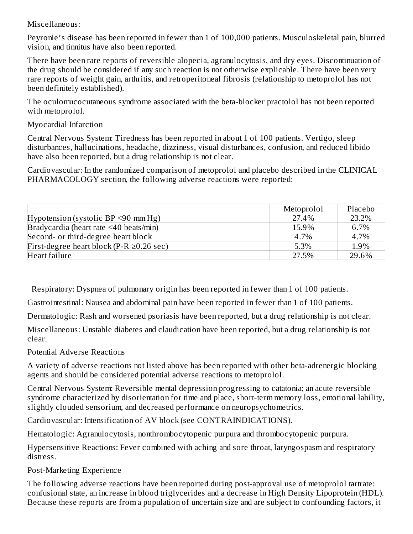Miscellaneous:

Peyronie's disease has been reported in fewer than 1 of 100,000 patients. Musculoskeletal pain, blurred vision, and tinnitus have also been reported.

There have been rare reports of reversible alopecia, agranulocytosis, and dry eyes. Discontinuation of the drug should be considered if any such reaction is not otherwise explicable. There have been very rare reports of weight gain, arthritis, and retroperitoneal fibrosis (relationship to metoprolol has not been definitely established).

The oculomucocutaneous syndrome associated with the beta-blocker practolol has not been reported with metoprolol.

Myocardial Infarction

Central Nervous System: Tiredness has been reported in about 1 of 100 patients. Vertigo, sleep disturbances, hallucinations, headache, dizziness, visual disturbances, confusion, and reduced libido have also been reported, but a drug relationship is not clear.

Cardiovascular: In the randomized comparison of metoprolol and placebo described in the CLINICAL PHARMACOLOGY section, the following adverse reactions were reported:

|                                                | Metoprolol | Placebo |
|------------------------------------------------|------------|---------|
| Hypotension (systolic BP $\leq$ 90 mm Hg)      | 27.4%      | 23.2%   |
| Bradycardia (heart rate <40 beats/min)         | 15.9%      | 6.7%    |
| Second- or third-degree heart block            | 4.7%       | 4.7%    |
| First-degree heart block (P-R $\geq$ 0.26 sec) | 5.3%       | 1.9%    |
| Heart failure                                  | 27.5%      | 29.6%   |

Respiratory: Dyspnea of pulmonary origin has been reported in fewer than 1 of 100 patients.

Gastrointestinal: Nausea and abdominal pain have been reported in fewer than 1 of 100 patients.

Dermatologic: Rash and worsened psoriasis have been reported, but a drug relationship is not clear.

Miscellaneous: Unstable diabetes and claudication have been reported, but a drug relationship is not clear.

Potential Adverse Reactions

A variety of adverse reactions not listed above has been reported with other beta-adrenergic blocking agents and should be considered potential adverse reactions to metoprolol.

Central Nervous System: Reversible mental depression progressing to catatonia; an acute reversible syndrome characterized by disorientation for time and place, short-term memory loss, emotional lability, slightly clouded sensorium, and decreased performance on neuropsychometrics.

Cardiovascular: Intensification of AV block (see CONTRAINDICATIONS).

Hematologic: Agranulocytosis, nonthrombocytopenic purpura and thrombocytopenic purpura.

Hypersensitive Reactions: Fever combined with aching and sore throat, laryngospasm and respiratory distress.

Post-Marketing Experience

The following adverse reactions have been reported during post-approval use of metoprolol tartrate: confusional state, an increase in blood triglycerides and a decrease in High Density Lipoprotein (HDL). Because these reports are from a population of uncertain size and are subject to confounding factors, it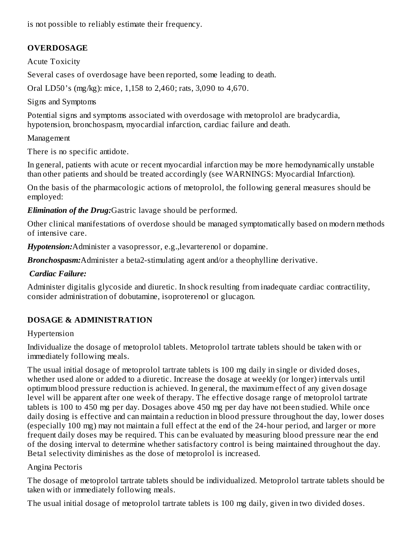is not possible to reliably estimate their frequency.

# **OVERDOSAGE**

Acute Toxicity

Several cases of overdosage have been reported, some leading to death.

Oral LD50's (mg/kg): mice, 1,158 to 2,460; rats, 3,090 to 4,670.

Signs and Symptoms

Potential signs and symptoms associated with overdosage with metoprolol are bradycardia, hypotension, bronchospasm, myocardial infarction, cardiac failure and death.

Management

There is no specific antidote.

In general, patients with acute or recent myocardial infarction may be more hemodynamically unstable than other patients and should be treated accordingly (see WARNINGS: Myocardial Infarction).

On the basis of the pharmacologic actions of metoprolol, the following general measures should be employed:

*Elimination of the Drug:*Gastric lavage should be performed.

Other clinical manifestations of overdose should be managed symptomatically based on modern methods of intensive care.

*Hypotension:*Administer a vasopressor, e.g.,levarterenol or dopamine.

*Bronchospasm:*Administer a beta2-stimulating agent and/or a theophylline derivative.

## *Cardiac Failure:*

Administer digitalis glycoside and diuretic. In shock resulting from inadequate cardiac contractility, consider administration of dobutamine, isoproterenol or glucagon.

## **DOSAGE & ADMINISTRATION**

## Hypertension

Individualize the dosage of metoprolol tablets. Metoprolol tartrate tablets should be taken with or immediately following meals.

The usual initial dosage of metoprolol tartrate tablets is 100 mg daily in single or divided doses, whether used alone or added to a diuretic. Increase the dosage at weekly (or longer) intervals until optimum blood pressure reduction is achieved. In general, the maximum effect of any given dosage level will be apparent after one week of therapy. The effective dosage range of metoprolol tartrate tablets is 100 to 450 mg per day. Dosages above 450 mg per day have not been studied. While once daily dosing is effective and can maintain a reduction in blood pressure throughout the day, lower doses (especially 100 mg) may not maintain a full effect at the end of the 24-hour period, and larger or more frequent daily doses may be required. This can be evaluated by measuring blood pressure near the end of the dosing interval to determine whether satisfactory control is being maintained throughout the day. Beta1 selectivity diminishes as the dose of metoprolol is increased.

## Angina Pectoris

The dosage of metoprolol tartrate tablets should be individualized. Metoprolol tartrate tablets should be taken with or immediately following meals.

The usual initial dosage of metoprolol tartrate tablets is 100 mg daily, given in two divided doses.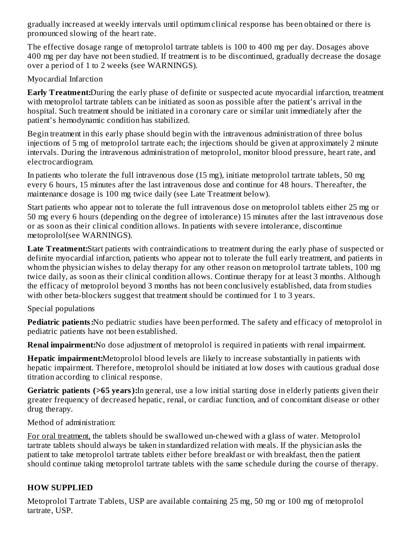gradually increased at weekly intervals until optimum clinical response has been obtained or there is pronounced slowing of the heart rate.

The effective dosage range of metoprolol tartrate tablets is 100 to 400 mg per day. Dosages above 400 mg per day have not been studied. If treatment is to be discontinued, gradually decrease the dosage over a period of 1 to 2 weeks (see WARNINGS).

Myocardial Infarction

**Early Treatment:**During the early phase of definite or suspected acute myocardial infarction, treatment with metoprolol tartrate tablets can be initiated as soon as possible after the patient's arrival in the hospital. Such treatment should be initiated in a coronary care or similar unit immediately after the patient's hemodynamic condition has stabilized.

Begin treatment in this early phase should begin with the intravenous administration of three bolus injections of 5 mg of metoprolol tartrate each; the injections should be given at approximately 2 minute intervals. During the intravenous administration of metoprolol, monitor blood pressure, heart rate, and electrocardiogram.

In patients who tolerate the full intravenous dose (15 mg), initiate metoprolol tartrate tablets, 50 mg every 6 hours, 15 minutes after the last intravenous dose and continue for 48 hours. Thereafter, the maintenance dosage is 100 mg twice daily (see Late Treatment below).

Start patients who appear not to tolerate the full intravenous dose on metoprolol tablets either 25 mg or 50 mg every 6 hours (depending on the degree of intolerance) 15 minutes after the last intravenous dose or as soon as their clinical condition allows. In patients with severe intolerance, discontinue metoprolol(see WARNINGS).

**Late Treatment:**Start patients with contraindications to treatment during the early phase of suspected or definite myocardial infarction, patients who appear not to tolerate the full early treatment, and patients in whom the physician wishes to delay therapy for any other reason on metoprolol tartrate tablets, 100 mg twice daily, as soon as their clinical condition allows. Continue therapy for at least 3 months. Although the efficacy of metoprolol beyond 3 months has not been conclusively established, data from studies with other beta-blockers suggest that treatment should be continued for 1 to 3 years.

Special populations

**Pediatric patients:**No pediatric studies have been performed. The safety and efficacy of metoprolol in pediatric patients have not been established.

**Renal impairment:**No dose adjustment of metoprolol is required in patients with renal impairment.

**Hepatic impairment:**Metoprolol blood levels are likely to increase substantially in patients with hepatic impairment. Therefore, metoprolol should be initiated at low doses with cautious gradual dose titration according to clinical response.

**Geriatric patients (>65 years):**In general, use a low initial starting dose in elderly patients given their greater frequency of decreased hepatic, renal, or cardiac function, and of concomitant disease or other drug therapy.

Method of administration:

For oral treatment, the tablets should be swallowed un-chewed with a glass of water. Metoprolol tartrate tablets should always be taken in standardized relation with meals. If the physician asks the patient to take metoprolol tartrate tablets either before breakfast or with breakfast, then the patient should continue taking metoprolol tartrate tablets with the same schedule during the course of therapy.

# **HOW SUPPLIED**

Metoprolol Tartrate Tablets, USP are available containing 25 mg, 50 mg or 100 mg of metoprolol tartrate, USP.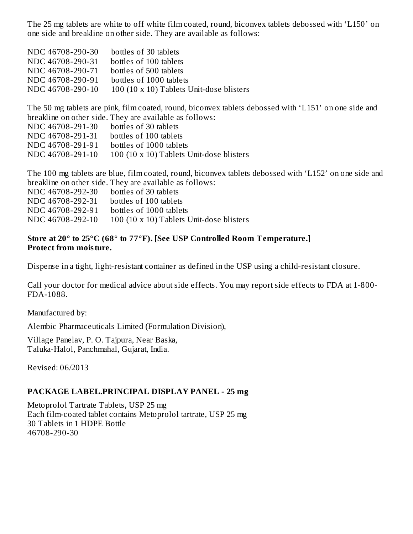The 25 mg tablets are white to off white film coated, round, biconvex tablets debossed with 'L150' on one side and breakline on other side. They are available as follows:

| NDC 46708-290-30 | bottles of 30 tablets                    |
|------------------|------------------------------------------|
| NDC 46708-290-31 | bottles of 100 tablets                   |
| NDC 46708-290-71 | bottles of 500 tablets                   |
| NDC 46708-290-91 | bottles of 1000 tablets                  |
| NDC 46708-290-10 | 100 (10 x 10) Tablets Unit-dose blisters |

The 50 mg tablets are pink, film coated, round, biconvex tablets debossed with 'L151' on one side and breakline on other side. They are available as follows:

| NDC 46708-291-30 | bottles of 30 tablets                    |
|------------------|------------------------------------------|
| NDC 46708-291-31 | bottles of 100 tablets                   |
| NDC 46708-291-91 | bottles of 1000 tablets                  |
| NDC 46708-291-10 | 100 (10 x 10) Tablets Unit-dose blisters |

The 100 mg tablets are blue, film coated, round, biconvex tablets debossed with 'L152' on one side and breakline on other side. They are available as follows:

| NDC 46708-292-30 | bottles of 30 tablets                    |
|------------------|------------------------------------------|
| NDC 46708-292-31 | bottles of 100 tablets                   |
| NDC 46708-292-91 | bottles of 1000 tablets                  |
| NDC 46708-292-10 | 100 (10 x 10) Tablets Unit-dose blisters |

#### **Store at 20° to 25°C (68° to 77°F). [See USP Controlled Room Temperature.] Protect from moisture.**

Dispense in a tight, light-resistant container as defined in the USP using a child-resistant closure.

Call your doctor for medical advice about side effects. You may report side effects to FDA at 1-800- FDA-1088.

Manufactured by:

Alembic Pharmaceuticals Limited (Formulation Division),

Village Panelav, P. O. Tajpura, Near Baska, Taluka-Halol, Panchmahal, Gujarat, India.

Revised: 06/2013

#### **PACKAGE LABEL.PRINCIPAL DISPLAY PANEL - 25 mg**

Metoprolol Tartrate Tablets, USP 25 mg Each film-coated tablet contains Metoprolol tartrate, USP 25 mg 30 Tablets in 1 HDPE Bottle 46708-290-30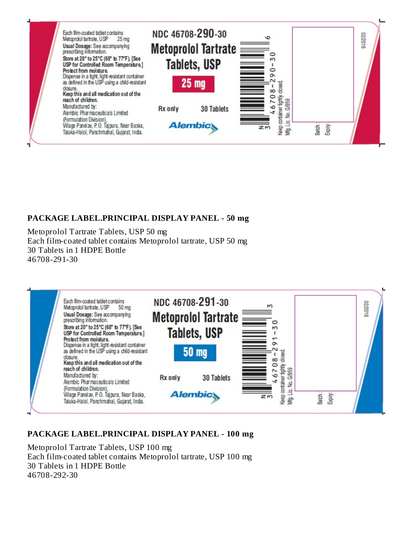

### **PACKAGE LABEL.PRINCIPAL DISPLAY PANEL - 50 mg**

Metoprolol Tartrate Tablets, USP 50 mg Each film-coated tablet contains Metoprolol tartrate, USP 50 mg 30 Tablets in 1 HDPE Bottle 46708-291-30



### **PACKAGE LABEL.PRINCIPAL DISPLAY PANEL - 100 mg**

Metoprolol Tartrate Tablets, USP 100 mg Each film-coated tablet contains Metoprolol tartrate, USP 100 mg 30 Tablets in 1 HDPE Bottle 46708-292-30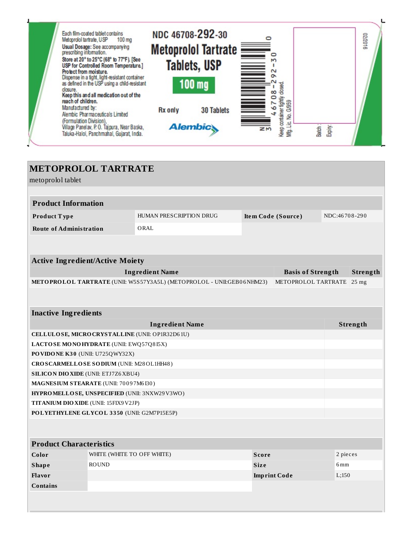

| <b>METOPROLOL TARTRATE</b>                                      |                                                 |                                                                       |             |                          |               |          |
|-----------------------------------------------------------------|-------------------------------------------------|-----------------------------------------------------------------------|-------------|--------------------------|---------------|----------|
| metoprolol tablet                                               |                                                 |                                                                       |             |                          |               |          |
|                                                                 |                                                 |                                                                       |             |                          |               |          |
| <b>Product Information</b>                                      |                                                 |                                                                       |             |                          |               |          |
| Product Type                                                    |                                                 | HUMAN PRESCRIPTION DRUG                                               |             | Item Code (Source)       | NDC:46708-290 |          |
| <b>Route of Administration</b>                                  |                                                 | ORAL                                                                  |             |                          |               |          |
|                                                                 |                                                 |                                                                       |             |                          |               |          |
|                                                                 |                                                 |                                                                       |             |                          |               |          |
| <b>Active Ingredient/Active Moiety</b>                          |                                                 |                                                                       |             |                          |               |          |
|                                                                 |                                                 | <b>Ingredient Name</b>                                                |             | <b>Basis of Strength</b> |               | Strength |
|                                                                 |                                                 | METOPROLOL TARTRATE (UNII: W5S57Y3A5L) (METOPROLOL - UNII:GEB06NHM23) |             | METOPROLOL TARTRATE      |               | $25$ mg  |
|                                                                 |                                                 |                                                                       |             |                          |               |          |
|                                                                 |                                                 |                                                                       |             |                          |               |          |
| <b>Inactive Ingredients</b>                                     |                                                 |                                                                       |             |                          |               |          |
|                                                                 |                                                 | <b>Ingredient Name</b>                                                |             |                          |               | Strength |
|                                                                 | CELLULOSE, MICRO CRYSTALLINE (UNII: OP1R32D61U) |                                                                       |             |                          |               |          |
| LACTOSE MONOHYDRATE (UNII: EWQ57Q8I5X)                          |                                                 |                                                                       |             |                          |               |          |
| PO VIDO NE K30 (UNII: U725QWY32X)                               |                                                 |                                                                       |             |                          |               |          |
| CROSCARMELLOSE SODIUM (UNII: M28OL1HH48)                        |                                                 |                                                                       |             |                          |               |          |
| <b>SILICON DIO XIDE (UNII: ETJ7Z6 XBU4)</b>                     |                                                 |                                                                       |             |                          |               |          |
| MAGNESIUM STEARATE (UNII: 70097M6I30)                           |                                                 |                                                                       |             |                          |               |          |
| HYPROMELLOSE, UNSPECIFIED (UNII: 3NXW29V3WO)                    |                                                 |                                                                       |             |                          |               |          |
| TITANIUM DIO XIDE (UNII: 15FIX9 V2JP)                           |                                                 |                                                                       |             |                          |               |          |
| POLYETHYLENE GLYCOL 3350 (UNII: G2M7P15E5P)                     |                                                 |                                                                       |             |                          |               |          |
|                                                                 |                                                 |                                                                       |             |                          |               |          |
| <b>Product Characteristics</b>                                  |                                                 |                                                                       |             |                          |               |          |
| WHITE (WHITE TO OFF WHITE)<br>2 pieces<br>Color<br><b>Score</b> |                                                 |                                                                       |             |                          |               |          |
| <b>Shape</b>                                                    | <b>ROUND</b>                                    |                                                                       | <b>Size</b> |                          | 6mm           |          |
| <b>Flavor</b><br>L;150<br><b>Imprint Code</b>                   |                                                 |                                                                       |             |                          |               |          |
| <b>Contains</b>                                                 |                                                 |                                                                       |             |                          |               |          |
|                                                                 |                                                 |                                                                       |             |                          |               |          |
|                                                                 |                                                 |                                                                       |             |                          |               |          |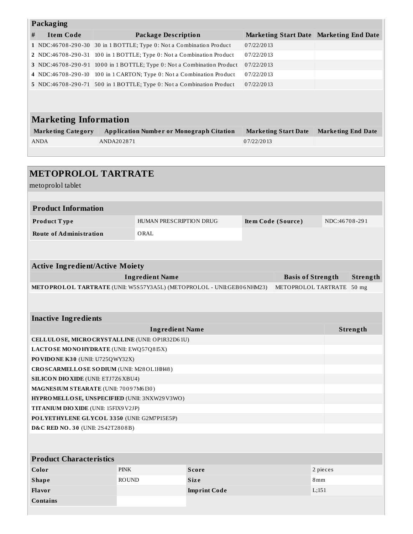| Packaging                                                                                    |                                                                       |                            |                                                    |                    |                                         |                 |                           |
|----------------------------------------------------------------------------------------------|-----------------------------------------------------------------------|----------------------------|----------------------------------------------------|--------------------|-----------------------------------------|-----------------|---------------------------|
| <b>Item Code</b><br>#                                                                        |                                                                       | <b>Package Description</b> |                                                    |                    | Marketing Start Date Marketing End Date |                 |                           |
| 1 NDC:46708-290-30 30 in 1 BOTTLE; Type 0: Not a Combination Product                         |                                                                       |                            |                                                    | 07/22/2013         |                                         |                 |                           |
|                                                                                              | 2 NDC:46708-290-31 100 in 1 BOTTLE; Type 0: Not a Combination Product |                            |                                                    | 07/22/2013         |                                         |                 |                           |
| 3 NDC:46708-290-91 1000 in 1 BOTTLE; Type 0: Not a Combination Product                       |                                                                       |                            |                                                    | 07/22/2013         |                                         |                 |                           |
| 4 NDC:46708-290-10                                                                           |                                                                       |                            | 100 in 1 CARTON; Type 0: Not a Combination Product | 07/22/2013         |                                         |                 |                           |
| 5 NDC:46708-290-71 500 in 1 BOTTLE; Type 0: Not a Combination Product                        |                                                                       |                            |                                                    | 07/22/2013         |                                         |                 |                           |
|                                                                                              |                                                                       |                            |                                                    |                    |                                         |                 |                           |
| <b>Marketing Information</b>                                                                 |                                                                       |                            |                                                    |                    |                                         |                 |                           |
| <b>Marketing Category</b>                                                                    |                                                                       |                            | <b>Application Number or Monograph Citation</b>    |                    | <b>Marketing Start Date</b>             |                 | <b>Marketing End Date</b> |
| ANDA                                                                                         | ANDA202871                                                            |                            |                                                    | 07/22/2013         |                                         |                 |                           |
|                                                                                              |                                                                       |                            |                                                    |                    |                                         |                 |                           |
|                                                                                              |                                                                       |                            |                                                    |                    |                                         |                 |                           |
| <b>METOPROLOL TARTRATE</b>                                                                   |                                                                       |                            |                                                    |                    |                                         |                 |                           |
| metoprolol tablet                                                                            |                                                                       |                            |                                                    |                    |                                         |                 |                           |
|                                                                                              |                                                                       |                            |                                                    |                    |                                         |                 |                           |
| <b>Product Information</b>                                                                   |                                                                       |                            |                                                    |                    |                                         |                 |                           |
| Product Type                                                                                 |                                                                       | HUMAN PRESCRIPTION DRUG    |                                                    | Item Code (Source) |                                         | NDC:46708-291   |                           |
| <b>Route of Administration</b>                                                               |                                                                       | ORAL                       |                                                    |                    |                                         |                 |                           |
|                                                                                              |                                                                       |                            |                                                    |                    |                                         |                 |                           |
|                                                                                              |                                                                       |                            |                                                    |                    |                                         |                 |                           |
| <b>Active Ingredient/Active Moiety</b>                                                       |                                                                       |                            |                                                    |                    |                                         |                 |                           |
| <b>Ingredient Name</b><br><b>Basis of Strength</b>                                           |                                                                       |                            |                                                    | Strength           |                                         |                 |                           |
| METOPROLOL TARTRATE (UNII: W5S57Y3A5L) (METOPROLOL - UNII:GEB06NHM23)<br>METOPROLOL TARTRATE |                                                                       |                            |                                                    | $50$ mg            |                                         |                 |                           |
|                                                                                              |                                                                       |                            |                                                    |                    |                                         |                 |                           |
|                                                                                              |                                                                       |                            |                                                    |                    |                                         |                 |                           |
| <b>Inactive Ingredients</b>                                                                  |                                                                       |                            |                                                    |                    |                                         |                 |                           |
| <b>Ingredient Name</b><br>Strength                                                           |                                                                       |                            |                                                    |                    |                                         |                 |                           |
| CELLULOSE, MICRO CRYSTALLINE (UNII: OP1R32D61U)                                              |                                                                       |                            |                                                    |                    |                                         |                 |                           |
| LACTOSE MONOHYDRATE (UNII: EWQ57Q8I5X)                                                       |                                                                       |                            |                                                    |                    |                                         |                 |                           |
| PO VIDO NE K30 (UNII: U725QWY32X)                                                            |                                                                       |                            |                                                    |                    |                                         |                 |                           |
| CROSCARMELLOSE SODIUM (UNII: M28OL1HH48)                                                     |                                                                       |                            |                                                    |                    |                                         |                 |                           |
|                                                                                              | <b>SILICON DIO XIDE (UNII: ETJ7Z6 XBU4)</b>                           |                            |                                                    |                    |                                         |                 |                           |
| MAGNESIUM STEARATE (UNII: 70097M6I30)                                                        |                                                                       |                            |                                                    |                    |                                         |                 |                           |
| HYPROMELLOSE, UNSPECIFIED (UNII: 3NXW29V3WO)                                                 |                                                                       |                            |                                                    |                    |                                         |                 |                           |
| TITANIUM DIO XIDE (UNII: 15FIX9V2JP)                                                         |                                                                       |                            |                                                    |                    |                                         |                 |                           |
| POLYETHYLENE GLYCOL 3350 (UNII: G2M7P15E5P)                                                  |                                                                       |                            |                                                    |                    |                                         |                 |                           |
| <b>D&amp;C RED NO. 30 (UNII: 2S42T2808B)</b>                                                 |                                                                       |                            |                                                    |                    |                                         |                 |                           |
|                                                                                              |                                                                       |                            |                                                    |                    |                                         |                 |                           |
| <b>Product Characteristics</b>                                                               |                                                                       |                            |                                                    |                    |                                         |                 |                           |
| Color                                                                                        | <b>PINK</b>                                                           |                            | <b>Score</b>                                       |                    |                                         | 2 pieces        |                           |
| <b>Shape</b>                                                                                 | <b>ROUND</b>                                                          |                            | <b>Size</b>                                        |                    |                                         | 8 <sub>mm</sub> |                           |
| <b>Flavor</b><br>L;151<br><b>Imprint Code</b>                                                |                                                                       |                            |                                                    |                    |                                         |                 |                           |
| <b>Contains</b>                                                                              |                                                                       |                            |                                                    |                    |                                         |                 |                           |
|                                                                                              |                                                                       |                            |                                                    |                    |                                         |                 |                           |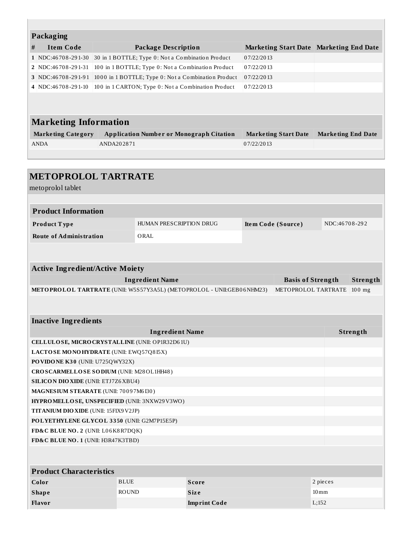| Packaging                    |                                                     |                                         |                           |  |  |  |  |
|------------------------------|-----------------------------------------------------|-----------------------------------------|---------------------------|--|--|--|--|
| #<br><b>Item Code</b>        | <b>Package Description</b>                          | Marketing Start Date Marketing End Date |                           |  |  |  |  |
| 1 NDC:46708-291-30           | 30 in 1 BOTTLE; Type 0: Not a Combination Product   | 07/22/2013                              |                           |  |  |  |  |
| 2 NDC:46708-291-31           | 100 in 1 BOTTLE; Type 0: Not a Combination Product  | 07/22/2013                              |                           |  |  |  |  |
| 3 NDC:46708-291-91           | 1000 in 1 BOTTLE; Type 0: Not a Combination Product | 07/22/2013                              |                           |  |  |  |  |
| 4 NDC:46708-291-10           | 100 in 1 CARTON; Type 0: Not a Combination Product  | 07/22/2013                              |                           |  |  |  |  |
|                              |                                                     |                                         |                           |  |  |  |  |
|                              |                                                     |                                         |                           |  |  |  |  |
| <b>Marketing Information</b> |                                                     |                                         |                           |  |  |  |  |
| <b>Marketing Category</b>    | <b>Application Number or Monograph Citation</b>     | <b>Marketing Start Date</b>             | <b>Marketing End Date</b> |  |  |  |  |
| <b>ANDA</b>                  | ANDA202871                                          | 07/22/2013                              |                           |  |  |  |  |
|                              |                                                     |                                         |                           |  |  |  |  |
|                              |                                                     |                                         |                           |  |  |  |  |

| <b>METOPROLOL TARTRATE</b>                                                            |                                                   |                     |  |                          |               |          |  |
|---------------------------------------------------------------------------------------|---------------------------------------------------|---------------------|--|--------------------------|---------------|----------|--|
| metoprolol tablet                                                                     |                                                   |                     |  |                          |               |          |  |
|                                                                                       |                                                   |                     |  |                          |               |          |  |
| <b>Product Information</b>                                                            |                                                   |                     |  |                          |               |          |  |
| Product Type                                                                          | HUMAN PRESCRIPTION DRUG                           |                     |  | Item Code (Source)       | NDC:46708-292 |          |  |
| <b>Route of Administration</b>                                                        | ORAL                                              |                     |  |                          |               |          |  |
|                                                                                       |                                                   |                     |  |                          |               |          |  |
|                                                                                       |                                                   |                     |  |                          |               |          |  |
| <b>Active Ingredient/Active Moiety</b>                                                |                                                   |                     |  |                          |               |          |  |
|                                                                                       | <b>Ingredient Name</b>                            |                     |  | <b>Basis of Strength</b> |               | Strength |  |
| METOPROLOL TARTRATE (UNII: W5S57Y3A5L) (METOPROLOL - UNII:GEB06NHM23)                 |                                                   |                     |  | METOPROLOL TARTRATE      |               | $100$ mg |  |
|                                                                                       |                                                   |                     |  |                          |               |          |  |
|                                                                                       |                                                   |                     |  |                          |               |          |  |
| <b>Inactive Ingredients</b>                                                           |                                                   |                     |  |                          |               |          |  |
| <b>Ingredient Name</b><br>Strength                                                    |                                                   |                     |  |                          |               |          |  |
|                                                                                       | CELLULOSE, MICRO CRYSTALLINE (UNII: OP1R32D61U)   |                     |  |                          |               |          |  |
|                                                                                       | LACTOSE MONOHYDRATE (UNII: EWQ57Q815X)            |                     |  |                          |               |          |  |
| PO VIDO NE K30 (UNII: U725QWY32X)                                                     |                                                   |                     |  |                          |               |          |  |
| CROSCARMELLOSE SODIUM (UNII: M28OL1HH48)                                              |                                                   |                     |  |                          |               |          |  |
| <b>SILICON DIO XIDE (UNII: ETJ7Z6 XBU4)</b>                                           |                                                   |                     |  |                          |               |          |  |
| MAGNESIUM STEARATE (UNII: 70097M6I30)<br>HYPROMELLOSE, UNSPECIFIED (UNII: 3NXW29V3WO) |                                                   |                     |  |                          |               |          |  |
|                                                                                       |                                                   |                     |  |                          |               |          |  |
| <b>TITANIUM DIO XIDE (UNII: 15FIX9 V2JP)</b>                                          |                                                   |                     |  |                          |               |          |  |
| POLYETHYLENE GLYCOL 3350 (UNII: G2M7P15E5P)<br>FD&C BLUE NO. 2 (UNII: L06K8R7DQK)     |                                                   |                     |  |                          |               |          |  |
| FD&C BLUE NO. 1 (UNII: H3R47K3TBD)                                                    |                                                   |                     |  |                          |               |          |  |
|                                                                                       |                                                   |                     |  |                          |               |          |  |
|                                                                                       |                                                   |                     |  |                          |               |          |  |
| <b>Product Characteristics</b>                                                        |                                                   |                     |  |                          |               |          |  |
| Color                                                                                 | <b>BLUE</b>                                       | <b>Score</b>        |  |                          | 2 pieces      |          |  |
| <b>Shape</b>                                                                          | <b>ROUND</b><br><b>Size</b><br>$10 \,\mathrm{mm}$ |                     |  |                          |               |          |  |
| Flavor                                                                                |                                                   | <b>Imprint Code</b> |  | L;152                    |               |          |  |